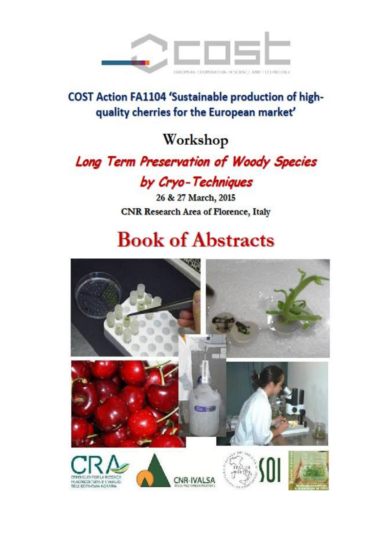

**COST Action FA1104 'Sustainable production of high**quality cherries for the European market'

# Workshop

# Long Term Preservation of Woody Species

# by Cryo-Techniques

26 & 27 March, 2015 **CNR Research Area of Florence, Italy** 

# **Book of Abstracts**

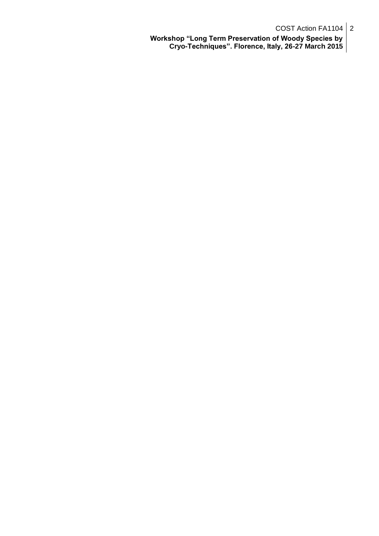#### COST Action FA1104 2

 **Workshop "Long Term Preservation of Woody Species by Cryo-Techniques". Florence, Italy, 26-27 March 2015**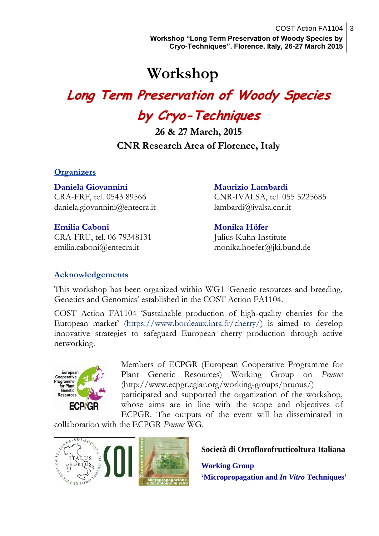# **Workshop**

# **Long Term Preservation of Woody Species**

# **by Cryo-Techniques**

**26 & 27 March, 2015 CNR Research Area of Florence, Italy**

**Organizers**

**Daniela Giovannini** Maurizio Lambardi daniela.giovannini@entecra.it lambardi@ivalsa.cnr.it

**Emilia Caboni** Monika Höfer CRA-FRU, tel. 06 79348131 Julius Kuhn Institute emilia.caboni@entecra.it monika.hoefer@jki.bund.de

CRA-FRF, tel. 0543 89566 CNR-IVALSA, tel. 055 5225685

### **Acknowledgements**

This workshop has been organized within WG1 'Genetic resources and breeding, Genetics and Genomics' established in the COST Action FA1104.

COST Action FA1104 'Sustainable production of high-quality cherries for the European market' (https://www.bordeaux.inra.fr/cherry/) is aimed to develop innovative strategies to safeguard European cherry production through active networking.



Members of ECPGR (European Cooperative Programme for Plant Genetic Resources) Working Group on *Prunus* (http://www.ecpgr.cgiar.org/working-groups/prunus/)

participated and supported the organization of the workshop, whose aims are in line with the scope and objectives of ECPGR. The outputs of the event will be disseminated in

collaboration with the ECPGR *Prunus* WG.



#### **Società di Ortoflorofrutticoltura Italiana**

**Working Group 'Micropropagation and** *In Vitro* **Techniques'**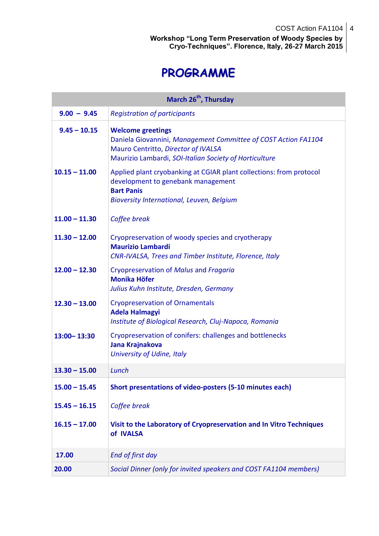# COST Action FA1104 4

 **Workshop "Long Term Preservation of Woody Species by Cryo-Techniques". Florence, Italy, 26-27 March 2015**

# **PROGRAMME**

| March 26 <sup>th</sup> , Thursday |                                                                                                                                                                                             |
|-----------------------------------|---------------------------------------------------------------------------------------------------------------------------------------------------------------------------------------------|
| $9.00 - 9.45$                     | <b>Registration of participants</b>                                                                                                                                                         |
| $9.45 - 10.15$                    | <b>Welcome greetings</b><br>Daniela Giovannini, Management Committee of COST Action FA1104<br>Mauro Centritto, Director of IVALSA<br>Maurizio Lambardi, SOI-Italian Society of Horticulture |
| $10.15 - 11.00$                   | Applied plant cryobanking at CGIAR plant collections: from protocol<br>development to genebank management<br><b>Bart Panis</b><br>Bioversity International, Leuven, Belgium                 |
| $11.00 - 11.30$                   | Coffee break                                                                                                                                                                                |
| $11.30 - 12.00$                   | Cryopreservation of woody species and cryotherapy<br><b>Maurizio Lambardi</b><br>CNR-IVALSA, Trees and Timber Institute, Florence, Italy                                                    |
| $12.00 - 12.30$                   | Cryopreservation of Malus and Fragaria<br><b>Monika Höfer</b><br>Julius Kuhn Institute, Dresden, Germany                                                                                    |
| $12.30 - 13.00$                   | <b>Cryopreservation of Ornamentals</b><br><b>Adela Halmagyi</b><br>Institute of Biological Research, Cluj-Napoca, Romania                                                                   |
| 13:00 - 13:30                     | Cryopreservation of conifers: challenges and bottlenecks<br>Jana Krajnakova<br><b>University of Udine, Italy</b>                                                                            |
| $13.30 - 15.00$                   | Lunch                                                                                                                                                                                       |
| $15.00 - 15.45$                   | Short presentations of video-posters (5-10 minutes each)                                                                                                                                    |
| $15.45 - 16.15$                   | Coffee break                                                                                                                                                                                |
| $16.15 - 17.00$                   | Visit to the Laboratory of Cryopreservation and In Vitro Techniques<br>of IVALSA                                                                                                            |
| 17.00                             | End of first day                                                                                                                                                                            |
| 20.00                             | Social Dinner (only for invited speakers and COST FA1104 members)                                                                                                                           |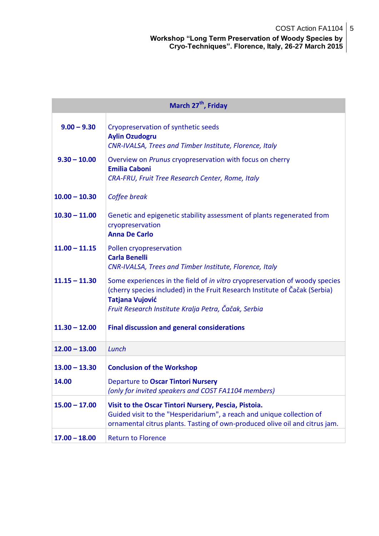| March 27 <sup>th</sup> , Friday |                                                                                                                                                                                                                                              |
|---------------------------------|----------------------------------------------------------------------------------------------------------------------------------------------------------------------------------------------------------------------------------------------|
| $9.00 - 9.30$                   | Cryopreservation of synthetic seeds<br><b>Aylin Ozudogru</b><br>CNR-IVALSA, Trees and Timber Institute, Florence, Italy                                                                                                                      |
| $9.30 - 10.00$                  | Overview on Prunus cryopreservation with focus on cherry<br><b>Emilia Caboni</b><br>CRA-FRU, Fruit Tree Research Center, Rome, Italy                                                                                                         |
| $10.00 - 10.30$                 | Coffee break                                                                                                                                                                                                                                 |
| $10.30 - 11.00$                 | Genetic and epigenetic stability assessment of plants regenerated from<br>cryopreservation<br><b>Anna De Carlo</b>                                                                                                                           |
| $11.00 - 11.15$                 | Pollen cryopreservation<br><b>Carla Benelli</b><br>CNR-IVALSA, Trees and Timber Institute, Florence, Italy                                                                                                                                   |
| $11.15 - 11.30$                 | Some experiences in the field of in vitro cryopreservation of woody species<br>(cherry species included) in the Fruit Research Institute of Čačak (Serbia)<br><b>Tatjana Vujović</b><br>Fruit Research Institute Kralja Petra, Čačak, Serbia |
| $11.30 - 12.00$                 | <b>Final discussion and general considerations</b>                                                                                                                                                                                           |
| $12.00 - 13.00$                 | Lunch                                                                                                                                                                                                                                        |
| $13.00 - 13.30$                 | <b>Conclusion of the Workshop</b>                                                                                                                                                                                                            |
| 14.00                           | Departure to Oscar Tintori Nursery<br>(only for invited speakers and COST FA1104 members)                                                                                                                                                    |
| $15.00 - 17.00$                 | Visit to the Oscar Tintori Nursery, Pescia, Pistoia.<br>Guided visit to the "Hesperidarium", a reach and unique collection of<br>ornamental citrus plants. Tasting of own-produced olive oil and citrus jam.                                 |
| $17.00 - 18.00$                 | <b>Return to Florence</b>                                                                                                                                                                                                                    |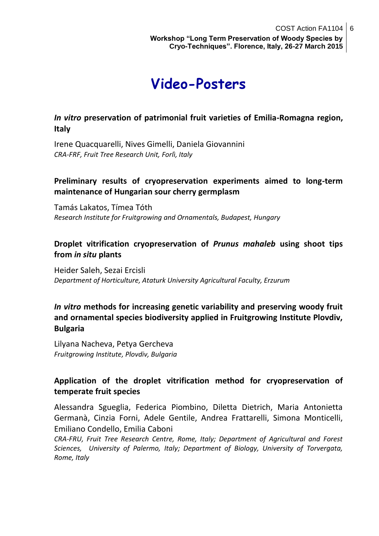# **Video-Posters**

# *In vitro* **preservation of patrimonial fruit varieties of Emilia-Romagna region, Italy**

Irene Quacquarelli, Nives Gimelli, Daniela Giovannini *CRA-FRF, Fruit Tree Research Unit, Forlì, Italy*

## **Preliminary results of cryopreservation experiments aimed to long-term maintenance of Hungarian sour cherry germplasm**

Tamás Lakatos, Tímea Tóth *Research Institute for Fruitgrowing and Ornamentals, Budapest, Hungary*

# **Droplet vitrification cryopreservation of** *Prunus mahaleb* **using shoot tips from** *in situ* **plants**

Heider Saleh, Sezai Ercisli *Department of Horticulture, Ataturk University Agricultural Faculty, Erzurum*

# *In vitro* **methods for increasing genetic variability and preserving woody fruit and ornamental species biodiversity applied in Fruitgrowing Institute Plovdiv, Bulgaria**

Lilyana Nacheva, Petya Gercheva *Fruitgrowing Institute, Plovdiv, Bulgaria*

# **Application of the droplet vitrification method for cryopreservation of temperate fruit species**

Alessandra Sgueglia, Federica Piombino, Diletta Dietrich, Maria Antonietta Germanà, Cinzia Forni, Adele Gentile, Andrea Frattarelli, Simona Monticelli, Emiliano Condello, Emilia Caboni

*CRA-FRU, Fruit Tree Research Centre, Rome, Italy; Department of Agricultural and Forest Sciences, University of Palermo, Italy; Department of Biology, University of Torvergata, Rome, Italy*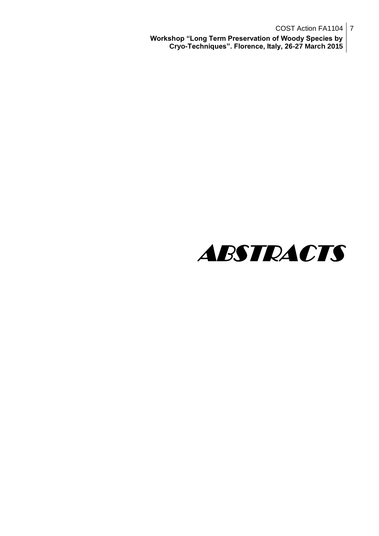#### COST Action FA1104 7

 **Workshop "Long Term Preservation of Woody Species by Cryo-Techniques". Florence, Italy, 26-27 March 2015**

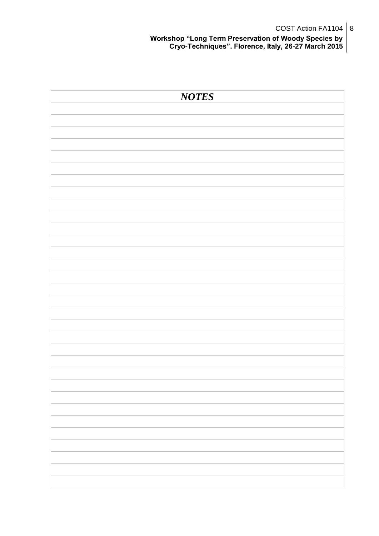COST Action FA1104 8  **Workshop "Long Term Preservation of Woody Species by Cryo-Techniques". Florence, Italy, 26-27 March 2015**

| <b>NOTES</b> |
|--------------|
|              |
|              |
|              |
|              |
|              |
|              |
|              |
|              |
|              |
|              |
|              |
|              |
|              |
|              |
|              |
|              |
|              |
|              |
|              |
|              |
|              |
|              |
|              |
|              |
|              |
|              |
|              |
|              |
|              |
|              |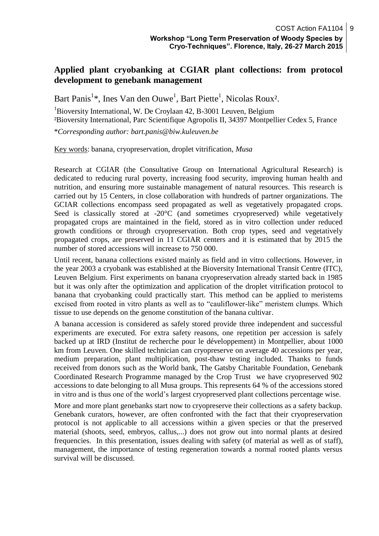### **Applied plant cryobanking at CGIAR plant collections: from protocol development to genebank management**

Bart Panis<sup>1\*</sup>, Ines Van den Ouwe<sup>1</sup>, Bart Piette<sup>1</sup>, Nicolas Roux<sup>2</sup>.  $1B$ ioversity International, W. De Croylaan 42, B-3001 Leuven, Belgium ²Bioversity International, Parc Scientifique Agropolis II, 34397 Montpellier Cedex 5, France \**Corresponding author: bart.panis@biw.kuleuven.be*

Key words: banana, cryopreservation, droplet vitrification, *Musa*

Research at CGIAR (the Consultative Group on International Agricultural Research) is dedicated to reducing rural poverty, increasing food security, improving human health and nutrition, and ensuring more sustainable management of natural resources. This research is carried out by 15 Centers, in close collaboration with hundreds of partner organizations. The GCIAR collections encompass seed propagated as well as vegetatively propagated crops. Seed is classically stored at -20°C (and sometimes cryopreserved) while vegetatively propagated crops are maintained in the field, stored as in vitro collection under reduced growth conditions or through cryopreservation. Both crop types, seed and vegetatively propagated crops, are preserved in 11 CGIAR centers and it is estimated that by 2015 the number of stored accessions will increase to 750 000.

Until recent, banana collections existed mainly as field and in vitro collections. However, in the year 2003 a cryobank was established at the Bioversity International Transit Centre (ITC), Leuven Belgium. First experiments on banana cryopreservation already started back in 1985 but it was only after the optimization and application of the droplet vitrification protocol to banana that cryobanking could practically start. This method can be applied to meristems excised from rooted in vitro plants as well as to "cauliflower-like" meristem clumps. Which tissue to use depends on the genome constitution of the banana cultivar.

A banana accession is considered as safely stored provide three independent and successful experiments are executed. For extra safety reasons, one repetition per accession is safely backed up at IRD (Institut de recherche pour le développement) in Montpellier, about 1000 km from Leuven. One skilled technician can cryopreserve on average 40 accessions per year, medium preparation, plant multiplication, post-thaw testing included. Thanks to funds received from donors such as the World bank, The Gatsby Charitable Foundation, Genebank Coordinated Research Programme managed by the Crop Trust we have cryopreserved 902 accessions to date belonging to all Musa groups. This represents 64 % of the accessions stored in vitro and is thus one of the world's largest cryopreserved plant collections percentage wise.

More and more plant genebanks start now to cryopreserve their collections as a safety backup. Genebank curators, however, are often confronted with the fact that their cryopreservation protocol is not applicable to all accessions within a given species or that the preserved material (shoots, seed, embryos, callus,...) does not grow out into normal plants at desired frequencies. In this presentation, issues dealing with safety (of material as well as of staff), management, the importance of testing regeneration towards a normal rooted plants versus survival will be discussed.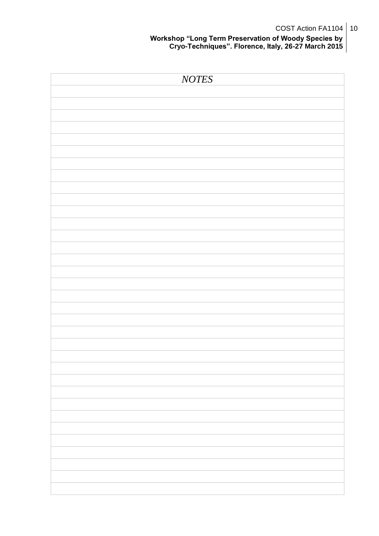COST Action FA1104  **Workshop "Long Term Preservation of Woody Species by Cryo-Techniques". Florence, Italy, 26-27 March 2015**

| <b>NOTES</b> |  |
|--------------|--|
|              |  |
|              |  |
|              |  |
|              |  |
|              |  |
|              |  |
|              |  |
|              |  |
|              |  |
|              |  |
|              |  |
|              |  |
|              |  |
|              |  |
|              |  |
|              |  |
|              |  |
|              |  |
|              |  |
|              |  |
|              |  |
|              |  |
|              |  |
|              |  |
|              |  |
|              |  |
|              |  |
|              |  |
|              |  |
|              |  |
|              |  |

10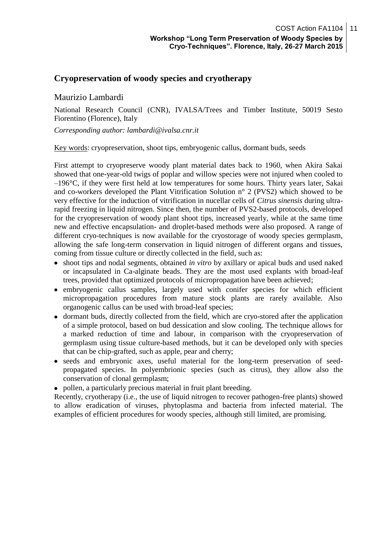#### **Cryopreservation of woody species and cryotherapy**

#### Maurizio Lambardi

National Research Council (CNR), IVALSA/Trees and Timber Institute, 50019 Sesto Fiorentino (Florence), Italy

*Corresponding author: lambardi@ivalsa.cnr.it*

Key words: cryopreservation, shoot tips, embryogenic callus, dormant buds, seeds

First attempt to cryopreserve woody plant material dates back to 1960, when Akira Sakai showed that one-year-old twigs of poplar and willow species were not injured when cooled to –196°C, if they were first held at low temperatures for some hours. Thirty years later, Sakai and co-workers developed the Plant Vitrification Solution n° 2 (PVS2) which showed to be very effective for the induction of vitrification in nucellar cells of *Citrus sinensis* during ultrarapid freezing in liquid nitrogen. Since then, the number of PVS2-based protocols, developed for the cryopreservation of woody plant shoot tips, increased yearly, while at the same time new and effective encapsulation- and droplet-based methods were also proposed. A range of different cryo-techniques is now available for the cryostorage of woody species germplasm, allowing the safe long-term conservation in liquid nitrogen of different organs and tissues, coming from tissue culture or directly collected in the field, such as:

- shoot tips and nodal segments, obtained *in vitro* by axillary or apical buds and used naked or incapsulated in Ca-alginate beads. They are the most used explants with broad-leaf trees, provided that optimized protocols of micropropagation have been achieved;
- embryogenic callus samples, largely used with conifer species for which efficient micropropagation procedures from mature stock plants are rarely available. Also organogenic callus can be used with broad-leaf species;
- dormant buds, directly collected from the field, which are cryo-stored after the application of a simple protocol, based on bud dessication and slow cooling. The technique allows for a marked reduction of time and labour, in comparison with the cryopreservation of germplasm using tissue culture-based methods, but it can be developed only with species that can be chip-grafted, such as apple, pear and cherry;
- seeds and embryonic axes, useful material for the long-term preservation of seedpropagated species. In polyembrionic species (such as citrus), they allow also the conservation of clonal germplasm;
- pollen, a particularly precious material in fruit plant breeding.

Recently, cryotherapy (i.e., the use of liquid nitrogen to recover pathogen-free plants) showed to allow eradication of viruses, phytoplasma and bacteria from infected material. The examples of efficient procedures for woody species, although still limited, are promising.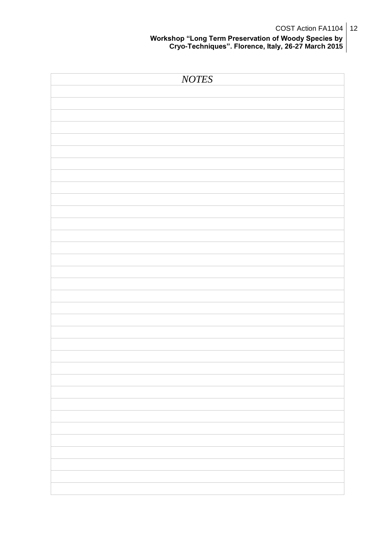COST Action FA1104 12  **Workshop "Long Term Preservation of Woody Species by Cryo-Techniques". Florence, Italy, 26-27 March 2015**

| <b>NOTES</b> |  |
|--------------|--|
|              |  |
|              |  |
|              |  |
|              |  |
|              |  |
|              |  |
|              |  |
|              |  |
|              |  |
|              |  |
|              |  |
|              |  |
|              |  |
|              |  |
|              |  |
|              |  |
|              |  |
|              |  |
|              |  |
|              |  |
|              |  |
|              |  |
|              |  |
|              |  |
|              |  |
|              |  |
|              |  |
|              |  |
|              |  |
|              |  |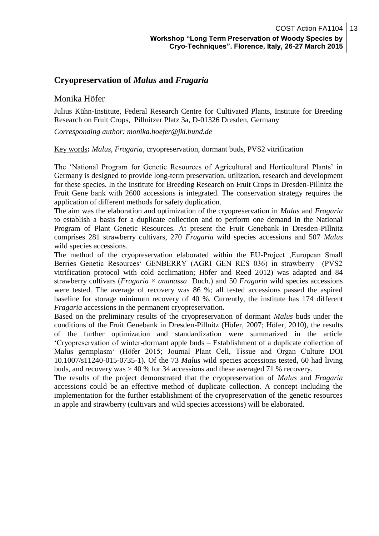#### **Cryopreservation of** *Malus* **and** *Fragaria*

#### Monika Höfer

Julius Kühn-Institute, Federal Research Centre for Cultivated Plants, Institute for Breeding Research on Fruit Crops, Pillnitzer Platz 3a, D-01326 Dresden, Germany

*Corresponding author: monika.hoefer@jki.bund.de*

Key words**:** *Malus*, *Fragaria*, cryopreservation, dormant buds, PVS2 vitrification

The 'National Program for Genetic Resources of Agricultural and Horticultural Plants' in Germany is designed to provide long-term preservation, utilization, research and development for these species. In the Institute for Breeding Research on Fruit Crops in Dresden-Pillnitz the Fruit Gene bank with 2600 accessions is integrated. The conservation strategy requires the application of different methods for safety duplication.

The aim was the elaboration and optimization of the cryopreservation in *Malus* and *Fragaria* to establish a basis for a duplicate collection and to perform one demand in the National Program of Plant Genetic Resources. At present the Fruit Genebank in Dresden-Pillnitz comprises 281 strawberry cultivars, 270 *Fragaria* wild species accessions and 507 *Malus* wild species accessions.

The method of the cryopreservation elaborated within the EU-Project . European Small Berries Genetic Resources' GENBERRY (AGRI GEN RES 036) in strawberry (PVS2 vitrification protocol with cold acclimation; Höfer and Reed 2012) was adapted and 84 strawberry cultivars (*Fragaria* × *ananassa* Duch.) and 50 *Fragaria* wild species accessions were tested. The average of recovery was 86 %; all tested accessions passed the aspired baseline for storage minimum recovery of 40 %. Currently, the institute has 174 different *Fragaria* accessions in the permanent cryopreservation.

Based on the preliminary results of the cryopreservation of dormant *Malus* buds under the conditions of the Fruit Genebank in Dresden-Pillnitz (Höfer, 2007; Höfer, 2010), the results of the further optimization and standardization were summarized in the article 'Cryopreservation of winter-dormant apple buds – Establishment of a duplicate collection of Malus germplasm' (Höfer 2015; Journal Plant Cell, Tissue and Organ Culture DOI 10.1007/s11240-015-0735-1). Of the 73 *Malus* wild species accessions tested, 60 had living buds, and recovery was > 40 % for 34 accessions and these averaged 71 % recovery.

The results of the project demonstrated that the cryopreservation of *Malus* and *Fragaria* accessions could be an effective method of duplicate collection. A concept including the implementation for the further establishment of the cryopreservation of the genetic resources in apple and strawberry (cultivars and wild species accessions) will be elaborated.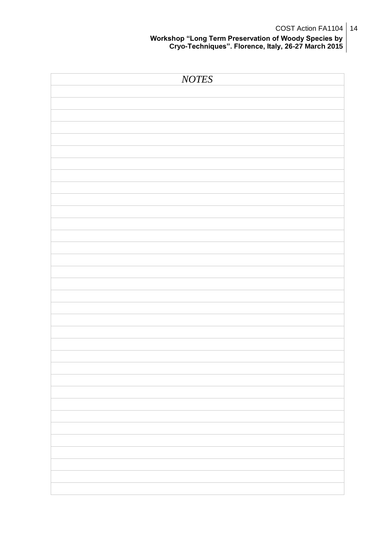COST Action FA1104  **Workshop "Long Term Preservation of Woody Species by Cryo-Techniques". Florence, Italy, 26-27 March 2015**

| <b>NOTES</b> |
|--------------|
|              |
|              |
|              |
|              |
|              |
|              |
|              |
|              |
|              |
|              |
|              |
|              |
|              |
|              |
|              |
|              |
|              |
|              |
|              |
|              |
|              |
|              |
|              |
|              |
|              |
|              |
|              |
|              |
|              |
|              |
|              |

14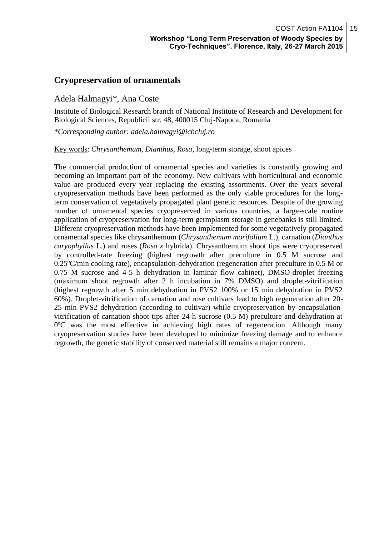#### **Cryopreservation of ornamentals**

#### Adela Halmagyi\*, Ana Coste

Institute of Biological Research branch of National Institute of Research and Development for Biological Sciences, Republicii str. 48, 400015 Cluj-Napoca, Romania

*\*Corresponding author: adela.halmagyi@icbcluj.ro*

Key words: *Chrysanthemum, Dianthus, Rosa*, long-term storage, shoot apices

The commercial production of ornamental species and varieties is constantly growing and becoming an important part of the economy. New cultivars with horticultural and economic value are produced every year replacing the existing assortments. Over the years several cryopreservation methods have been performed as the only viable procedures for the longterm conservation of vegetatively propagated plant genetic resources. Despite of the growing number of ornamental species cryopreserved in various countries, a large-scale routine application of cryopreservation for long-term germplasm storage in genebanks is still limited. Different cryopreservation methods have been implemented for some vegetatively propagated ornamental species like chrysanthemum (*Chrysanthemum morifolium* L.)*,* carnation (*Dianthus caryophyllus* L.) and roses (*Rosa x* hybrida). Chrysanthemum shoot tips were cryopreserved by controlled-rate freezing (highest regrowth after preculture in 0.5 M sucrose and 0.25ºC/min cooling rate), encapsulation-dehydration (regeneration after preculture in 0.5 M or 0.75 M sucrose and 4-5 h dehydration in laminar flow cabinet), DMSO-droplet freezing (maximum shoot regrowth after 2 h incubation in 7% DMSO) and droplet-vitrification (highest regrowth after 5 min dehydration in PVS2 100% or 15 min dehydration in PVS2 60%). Droplet-vitrification of carnation and rose cultivars lead to high regeneration after 20- 25 min PVS2 dehydration (according to cultivar) while cryopreservation by encapsulationvitrification of carnation shoot tips after 24 h sucrose (0.5 M) preculture and dehydration at  $0^{\circ}$ C was the most effective in achieving high rates of regeneration. Although many cryopreservation studies have been developed to minimize freezing damage and to enhance regrowth, the genetic stability of conserved material still remains a major concern.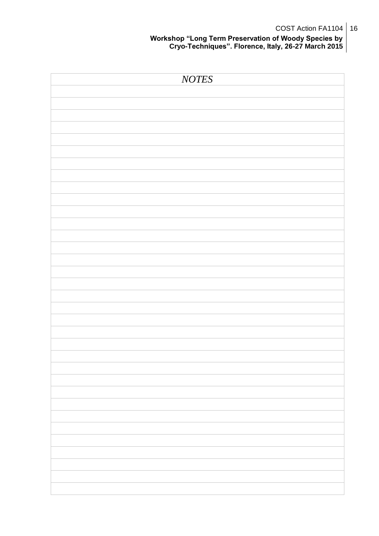COST Action FA1104  **Workshop "Long Term Preservation of Woody Species by Cryo-Techniques". Florence, Italy, 26-27 March 2015**

| <b>NOTES</b> |
|--------------|
|              |
|              |
|              |
|              |
|              |
|              |
|              |
|              |
|              |
|              |
|              |
|              |
|              |
|              |
|              |
|              |
|              |
|              |
|              |
|              |
|              |
|              |
|              |
|              |
|              |
|              |
|              |
|              |
|              |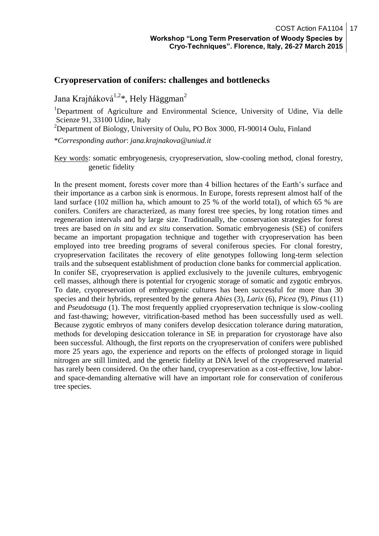#### **Cryopreservation of conifers: challenges and bottlenecks**

Jana Krajňáková<sup>1,2\*</sup>, Hely Häggman<sup>2</sup>

<sup>1</sup>Department of Agriculture and Environmental Science, University of Udine, Via delle Scienze 91, 33100 Udine, Italy

<sup>2</sup>Department of Biology, University of Oulu, PO Box 3000, FI-90014 Oulu, Finland

\**Corresponding author*: *jana.krajnakova@uniud.it*

Key words: somatic embryogenesis, cryopreservation, slow-cooling method, clonal forestry, genetic fidelity

In the present moment, forests cover more than 4 billion hectares of the Earth's surface and their importance as a carbon sink is enormous. In Europe, forests represent almost half of the land surface (102 million ha, which amount to 25 % of the world total), of which 65 % are conifers. Conifers are characterized, as many forest tree species, by long rotation times and regeneration intervals and by large size. Traditionally, the conservation strategies for forest trees are based on *in situ* and *ex situ* conservation. Somatic embryogenesis (SE) of conifers became an important propagation technique and together with cryopreservation has been employed into tree breeding programs of several coniferous species. For clonal forestry, cryopreservation facilitates the recovery of elite genotypes following long-term selection trails and the subsequent establishment of production clone banks for commercial application. In conifer SE, cryopreservation is applied exclusively to the juvenile cultures, embryogenic cell masses, although there is potential for cryogenic storage of somatic and zygotic embryos. To date, cryopreservation of embryogenic cultures has been successful for more than 30 species and their hybrids, represented by the genera *Abies* (3), *Larix* (6), *Picea* (9), *Pinus* (11) and *Pseudotsuga* (1). The most frequently applied cryopreservation technique is slow-cooling and fast-thawing; however, vitrification-based method has been successfully used as well. Because zygotic embryos of many conifers develop desiccation tolerance during maturation, methods for developing desiccation tolerance in SE in preparation for cryostorage have also been successful. Although, the first reports on the cryopreservation of conifers were published more 25 years ago, the experience and reports on the effects of prolonged storage in liquid nitrogen are still limited, and the genetic fidelity at DNA level of the cryopreserved material has rarely been considered. On the other hand, cryopreservation as a cost-effective, low laborand space-demanding alternative will have an important role for conservation of coniferous tree species.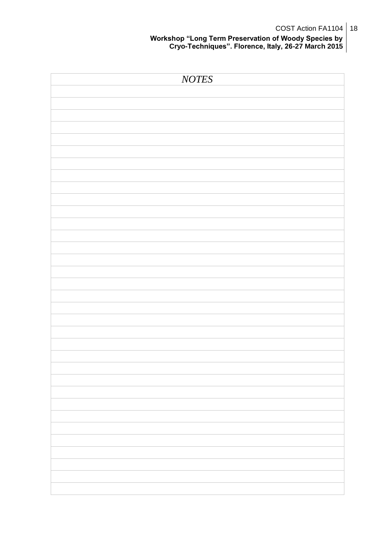COST Action FA1104  **Workshop "Long Term Preservation of Woody Species by Cryo-Techniques". Florence, Italy, 26-27 March 2015**

| <b>NOTES</b> |
|--------------|
|              |
|              |
|              |
|              |
|              |
|              |
|              |
|              |
|              |
|              |
|              |
|              |
|              |
|              |
|              |
|              |
|              |
|              |
|              |
|              |
|              |
|              |
|              |
|              |
|              |
|              |
|              |
|              |
|              |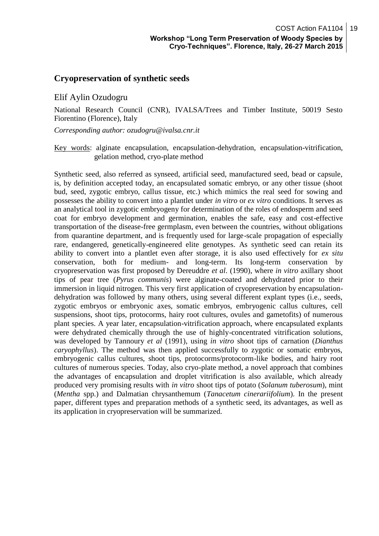#### **Cryopreservation of synthetic seeds**

#### Elif Aylin Ozudogru

National Research Council (CNR), IVALSA/Trees and Timber Institute, 50019 Sesto Fiorentino (Florence), Italy

*Corresponding author: ozudogru@ivalsa.cnr.it*

Key words: alginate encapsulation, encapsulation-dehydration, encapsulation-vitrification, gelation method, cryo-plate method

Synthetic seed, also referred as synseed, artificial seed, manufactured seed, bead or capsule, is, by definition accepted today, an encapsulated somatic embryo, or any other tissue (shoot bud, seed, zygotic embryo, callus tissue, etc.) which mimics the real seed for sowing and possesses the ability to convert into a plantlet under *in vitro* or *ex vitro* conditions. It serves as an analytical tool in zygotic embryogeny for determination of the roles of endosperm and seed coat for embryo development and germination, enables the safe, easy and cost-effective transportation of the disease-free germplasm, even between the countries, without obligations from quarantine department, and is frequently used for large-scale propagation of especially rare, endangered, genetically-engineered elite genotypes. As synthetic seed can retain its ability to convert into a plantlet even after storage, it is also used effectively for *ex situ* conservation, both for medium- and long-term. Its long-term conservation by cryopreservation was first proposed by Dereuddre *et al*. (1990), where *in vitro* axillary shoot tips of pear tree (*Pyrus communis*) were alginate-coated and dehydrated prior to their immersion in liquid nitrogen. This very first application of cryopreservation by encapsulationdehydration was followed by many others, using several different explant types (i.e., seeds, zygotic embryos or embryonic axes, somatic embryos, embryogenic callus cultures, cell suspensions, shoot tips, protocorms, hairy root cultures, ovules and gametofits) of numerous plant species. A year later, encapsulation-vitrification approach, where encapsulated explants were dehydrated chemically through the use of highly-concentrated vitrification solutions, was developed by Tannoury *et al* (1991), using *in vitro* shoot tips of carnation (*Dianthus caryophyllus*). The method was then applied successfully to zygotic or somatic embryos, embryogenic callus cultures, shoot tips, protocorms/protocorm-like bodies, and hairy root cultures of numerous species. Today, also cryo-plate method, a novel approach that combines the advantages of encapsulation and droplet vitrification is also available, which already produced very promising results with *in vitro* shoot tips of potato (*Solanum tuberosum*), mint (*Mentha* spp.) and Dalmatian chrysanthemum (*Tanacetum cinerariifolium*). In the present paper, different types and preparation methods of a synthetic seed, its advantages, as well as its application in cryopreservation will be summarized.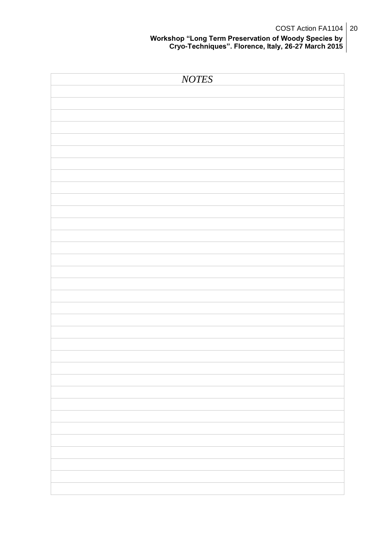COST Action FA1104 20  **Workshop "Long Term Preservation of Woody Species by Cryo-Techniques". Florence, Italy, 26-27 March 2015**

| <b>NOTES</b> |
|--------------|
|              |
|              |
|              |
|              |
|              |
|              |
|              |
|              |
|              |
|              |
|              |
|              |
|              |
|              |
|              |
|              |
|              |
|              |
|              |
|              |
|              |
|              |
|              |
|              |
|              |
|              |
|              |
|              |
|              |
|              |
|              |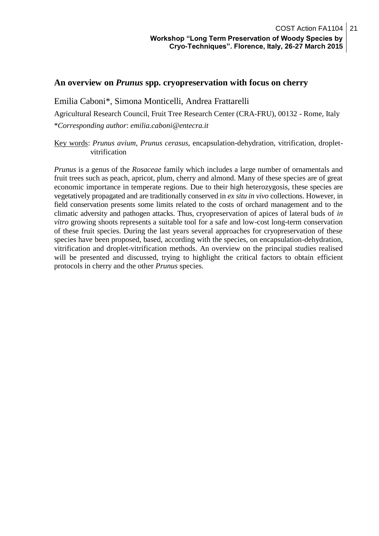#### **An overview on** *Prunus* **spp. cryopreservation with focus on cherry**

Emilia Caboni\*, Simona Monticelli, Andrea Frattarelli Agricultural Research Council, Fruit Tree Research Center (CRA-FRU), 00132 - Rome, Italy \**Corresponding author*: *emilia.caboni@entecra.it*

Key words: *Prunus avium*, *Prunus cerasus*, encapsulation-dehydration, vitrification, droplet vitrification

*Prunus* is a genus of the *Rosaceae* family which includes a large number of ornamentals and fruit trees such as peach, apricot, plum, cherry and almond. Many of these species are of great economic importance in temperate regions. Due to their high heterozygosis, these species are vegetatively propagated and are traditionally conserved in *ex situ in vivo* collections. However, in field conservation presents some limits related to the costs of orchard management and to the climatic adversity and pathogen attacks. Thus, cryopreservation of apices of lateral buds of *in vitro* growing shoots represents a suitable tool for a safe and low-cost long-term conservation of these fruit species. During the last years several approaches for cryopreservation of these species have been proposed, based, according with the species, on encapsulation-dehydration, vitrification and droplet-vitrification methods. An overview on the principal studies realised will be presented and discussed, trying to highlight the critical factors to obtain efficient protocols in cherry and the other *Prunus* species.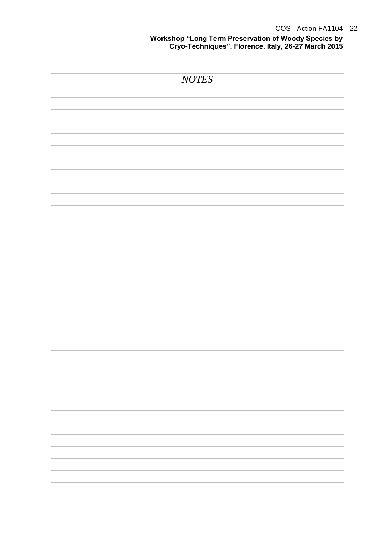COST Action FA1104 22  **Workshop "Long Term Preservation of Woody Species by Cryo-Techniques". Florence, Italy, 26-27 March 2015**

| NOTES |
|-------|
|       |
|       |
|       |
|       |
|       |
|       |
|       |
|       |
|       |
|       |
|       |
|       |
|       |
|       |
|       |
|       |
|       |
|       |
|       |
|       |
|       |
|       |
|       |
|       |
|       |
|       |
|       |
|       |
|       |
|       |
|       |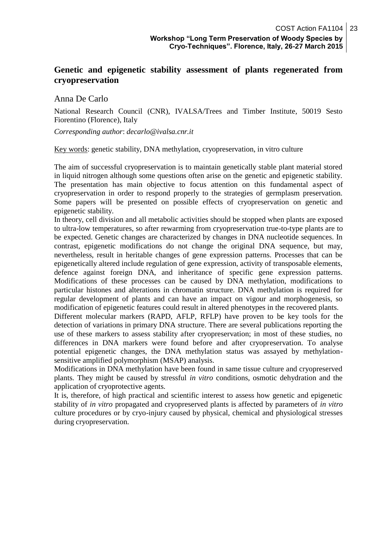23

### **Genetic and epigenetic stability assessment of plants regenerated from cryopreservation**

Anna De Carlo

National Research Council (CNR), IVALSA/Trees and Timber Institute, 50019 Sesto Fiorentino (Florence), Italy

*Corresponding author*: *decarlo@ivalsa.cnr.it*

Key words: genetic stability, DNA methylation, cryopreservation, in vitro culture

The aim of successful cryopreservation is to maintain genetically stable plant material stored in liquid nitrogen although some questions often arise on the genetic and epigenetic stability. The presentation has main objective to focus attention on this fundamental aspect of cryopreservation in order to respond properly to the strategies of germplasm preservation. Some papers will be presented on possible effects of cryopreservation on genetic and epigenetic stability.

In theory, cell division and all metabolic activities should be stopped when plants are exposed to ultra-low temperatures, so after rewarming from cryopreservation true-to-type plants are to be expected. Genetic changes are characterized by changes in DNA nucleotide sequences. In contrast, epigenetic modifications do not change the original DNA sequence, but may, nevertheless, result in heritable changes of gene expression patterns. Processes that can be epigenetically altered include regulation of gene expression, activity of transposable elements, defence against foreign DNA, and inheritance of specific gene expression patterns. Modifications of these processes can be caused by DNA methylation, modifications to particular histones and alterations in chromatin structure. DNA methylation is required for regular development of plants and can have an impact on vigour and morphogenesis, so modification of epigenetic features could result in altered phenotypes in the recovered plants.

Different molecular markers (RAPD, AFLP, RFLP) have proven to be key tools for the detection of variations in primary DNA structure. There are several publications reporting the use of these markers to assess stability after cryopreservation; in most of these studies, no differences in DNA markers were found before and after cryopreservation. To analyse potential epigenetic changes, the DNA methylation status was assayed by methylationsensitive amplified polymorphism (MSAP) analysis.

Modifications in DNA methylation have been found in same tissue culture and cryopreserved plants. They might be caused by stressful *in vitro* conditions, osmotic dehydration and the application of cryoprotective agents.

It is, therefore, of high practical and scientific interest to assess how genetic and epigenetic stability of *in vitro* propagated and cryopreserved plants is affected by parameters of *in vitro*  culture procedures or by cryo-injury caused by physical, chemical and physiological stresses during cryopreservation.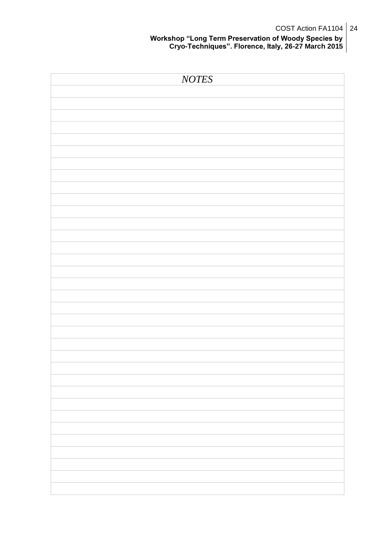COST Action FA1104 24  **Workshop "Long Term Preservation of Woody Species by Cryo-Techniques". Florence, Italy, 26-27 March 2015**

| NOTES |
|-------|
|       |
|       |
|       |
|       |
|       |
|       |
|       |
|       |
|       |
|       |
|       |
|       |
|       |
|       |
|       |
|       |
|       |
|       |
|       |
|       |
|       |
|       |
|       |
|       |
|       |
|       |
|       |
|       |
|       |
|       |
|       |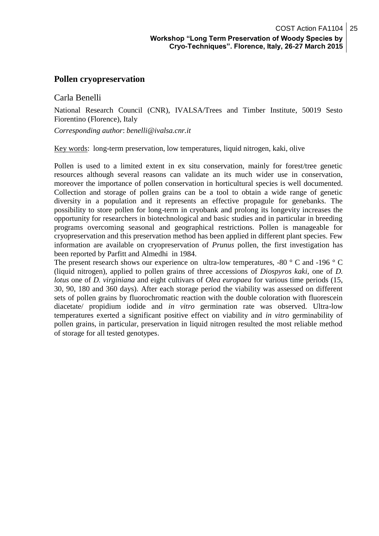#### **Pollen cryopreservation**

Carla Benelli

National Research Council (CNR), IVALSA/Trees and Timber Institute, 50019 Sesto Fiorentino (Florence), Italy

*Corresponding author*: *benelli@ivalsa.cnr.it* 

Key words: long-term preservation, low temperatures, liquid nitrogen, kaki, olive

Pollen is used to a limited extent in ex situ conservation, mainly for forest/tree genetic resources although several reasons can validate an its much wider use in conservation, moreover the importance of pollen conservation in horticultural species is well documented. Collection and storage of pollen grains can be a tool to obtain a wide range of genetic diversity in a population and it represents an effective propagule for genebanks. The possibility to store pollen for long-term in cryobank and prolong its longevity increases the opportunity for researchers in biotechnological and basic studies and in particular in breeding programs overcoming seasonal and geographical restrictions. Pollen is manageable for cryopreservation and this preservation method has been applied in different plant species. Few information are available on cryopreservation of *Prunus* pollen, the first investigation has been reported by Parfitt and Almedhi in 1984.

The present research shows our experience on ultra-low temperatures, -80 ° C and -196 ° C (liquid nitrogen), applied to pollen grains of three accessions of *Diospyros kaki,* one of *D. lotus* one of *D. virginiana* and eight cultivars of *Olea europaea* for various time periods (15, 30, 90, 180 and 360 days). After each storage period the viability was assessed on different sets of pollen grains by fluorochromatic reaction with the double coloration with fluorescein diacetate/ propidium iodide and *in vitro* germination rate was observed. Ultra-low temperatures exerted a significant positive effect on viability and *in vitro* germinability of pollen grains, in particular, preservation in liquid nitrogen resulted the most reliable method of storage for all tested genotypes.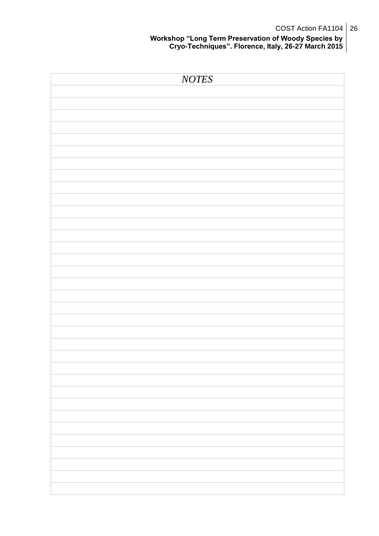COST Action FA1104 26  **Workshop "Long Term Preservation of Woody Species by Cryo-Techniques". Florence, Italy, 26-27 March 2015**

| NOTES |
|-------|
|       |
|       |
|       |
|       |
|       |
|       |
|       |
|       |
|       |
|       |
|       |
|       |
|       |
|       |
|       |
|       |
|       |
|       |
|       |
|       |
|       |
|       |
|       |
|       |
|       |
|       |
|       |
|       |
|       |
|       |
|       |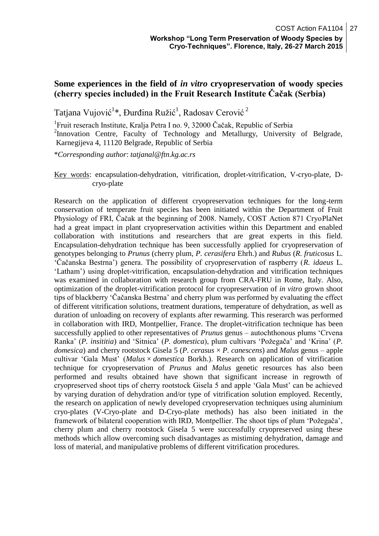### **Some experiences in the field of** *in vitro* **cryopreservation of woody species (cherry species included) in the Fruit Research Institute Čačak (Serbia)**

Tatjana Vujović $^{1*}$ , Đurđina Ružić $^{1}$ , Radosav Cerović  $^{2}$ 

<sup>1</sup> Fruit reserach Institute, Kralja Petra I no. 9, 32000 Čačak, Republic of Serbia

<sup>2</sup>Innovation Centre, Faculty of Technology and Metallurgy, University of Belgrade, Karnegijeva 4, 11120 Belgrade, Republic of Serbia

\**Corresponding author*: *tatjanal@ftn.kg.ac.rs*

#### Key words: encapsulation-dehydration, vitrification, droplet-vitrification, V-cryo-plate, D cryo-plate

Research on the application of different cryopreservation techniques for the long-term conservation of temperate fruit species has been initiated within the Department of Fruit Physiology of FRI, Čačak at the beginning of 2008. Namely, COST Action 871 CryoPlaNet had a great impact in plant cryopreservation activities within this Department and enabled collaboration with institutions and researchers that are great experts in this field. Encapsulation-dehydration technique has been successfully applied for cryopreservation of genotypes belonging to *Prunus* (cherry plum, *P. cerasifera* Ehrh.) and *Rubus* (*R. fruticosus* L. 'Čačanska Bestrna') genera. The possibility of cryopreservation of raspberry (*R. idaeus* L. 'Latham') using droplet-vitrification, encapsulation-dehydration and vitrification techniques was examined in collaboration with research group from CRA-FRU in Rome, Italy. Also, optimization of the droplet-vitrification protocol for cryopreservation of *in vitro* grown shoot tips of blackberry 'Čačanska Bestrna' and cherry plum was performed by evaluating the effect of different vitrification solutions, treatment durations, temperature of dehydration, as well as duration of unloading on recovery of explants after rewarming. This reserarch was performed in collaboration with IRD, Montpellier, France. The droplet-vitrification technique has been successfully applied to other representatives of *Prunus* genus – autochthonous plums 'Crvena Ranka' (*P. insititia*) and 'Sitnica' (*P. domestica*), plum cultivars 'Požegača' and 'Krina' (*P. domesica*) and cherry rootstock Gisela 5 (*P. cerasus*  $\times$  *P. canescens*) and *Malus* genus – apple cultivar 'Gala Must' (*Malus* × *domestica* Borkh.). Research on application of vitrification technique for cryopreservation of *Prunus* and *Malus* genetic resources has also been performed and results obtained have shown that significant increase in regrowth of cryopreserved shoot tips of cherry rootstock Gisela 5 and apple 'Gala Must' can be achieved by varying duration of dehydration and/or type of vitrification solution employed. Recently, the research on application of newly developed cryopreservation techniques using aluminium cryo-plates (V-Cryo-plate and D-Cryo-plate methods) has also been initiated in the framework of bilateral cooperation with IRD, Montpellier. The shoot tips of plum 'Požegača', cherry plum and cherry rootstock Gisela 5 were successfully cryopreserved using these methods which allow overcoming such disadvantages as mistiming dehydration, damage and loss of material, and manipulative problems of different vitrification procedures.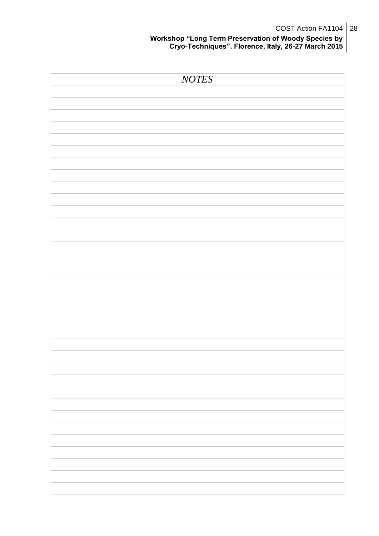COST Action FA1104 28  **Workshop "Long Term Preservation of Woody Species by Cryo-Techniques". Florence, Italy, 26-27 March 2015**

| <b>NOTES</b> |
|--------------|
|              |
|              |
|              |
|              |
|              |
|              |
|              |
|              |
|              |
|              |
|              |
|              |
|              |
|              |
|              |
|              |
|              |
|              |
|              |
|              |
|              |
|              |
|              |
|              |
|              |
|              |
|              |
|              |
|              |
|              |
|              |
|              |
|              |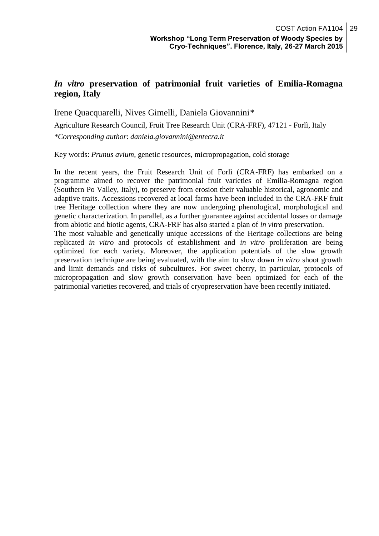## *In vitro* **preservation of patrimonial fruit varieties of Emilia-Romagna region, Italy**

Irene Quacquarelli, Nives Gimelli, Daniela Giovannini*\** Agriculture Research Council, Fruit Tree Research Unit (CRA-FRF), 47121 - Forlì, Italy *\*Corresponding author*: *daniela.giovannini@entecra.it*

Key words: *Prunus avium*, genetic resources, micropropagation, cold storage

In the recent years, the Fruit Research Unit of Forlì (CRA-FRF) has embarked on a programme aimed to recover the patrimonial fruit varieties of Emilia-Romagna region (Southern Po Valley, Italy), to preserve from erosion their valuable historical, agronomic and adaptive traits. Accessions recovered at local farms have been included in the CRA-FRF fruit tree Heritage collection where they are now undergoing phenological, morphological and genetic characterization. In parallel, as a further guarantee against accidental losses or damage from abiotic and biotic agents, CRA-FRF has also started a plan of *in vitro* preservation. The most valuable and genetically unique accessions of the Heritage collections are being

replicated *in vitro* and protocols of establishment and *in vitro* proliferation are being optimized for each variety. Moreover, the application potentials of the slow growth preservation technique are being evaluated, with the aim to slow down *in vitro* shoot growth and limit demands and risks of subcultures. For sweet cherry, in particular, protocols of micropropagation and slow growth conservation have been optimized for each of the patrimonial varieties recovered, and trials of cryopreservation have been recently initiated.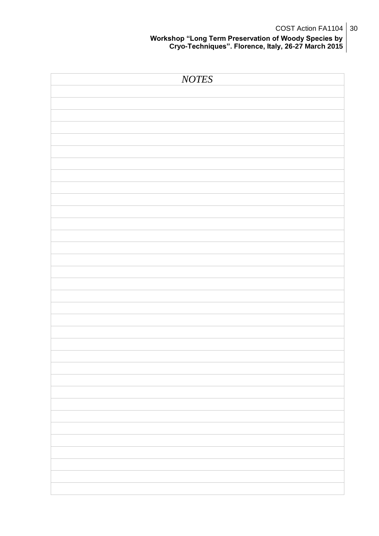COST Action FA1104 30  **Workshop "Long Term Preservation of Woody Species by Cryo-Techniques". Florence, Italy, 26-27 March 2015**

| <b>NOTES</b> |
|--------------|
|              |
|              |
|              |
|              |
|              |
|              |
|              |
|              |
|              |
|              |
|              |
|              |
|              |
|              |
|              |
|              |
|              |
|              |
|              |
|              |
|              |
|              |
|              |
|              |
|              |
|              |
|              |
|              |
|              |
|              |
|              |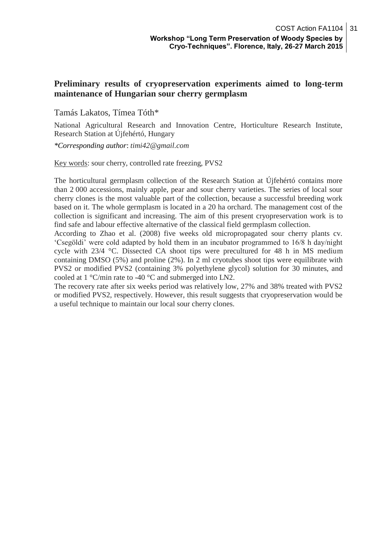### **Preliminary results of cryopreservation experiments aimed to long-term maintenance of Hungarian sour cherry germplasm**

Tamás Lakatos, Tímea Tóth\*

National Agricultural Research and Innovation Centre, Horticulture Research Institute, Research Station at Újfehértó, Hungary

*\*Corresponding author*: *timi42@gmail.com*

Key words: sour cherry, controlled rate freezing, PVS2

The horticultural germplasm collection of the Research Station at Újfehértó contains more than 2 000 accessions, mainly apple, pear and sour cherry varieties. The series of local sour cherry clones is the most valuable part of the collection, because a successful breeding work based on it. The whole germplasm is located in a 20 ha orchard. The management cost of the collection is significant and increasing. The aim of this present cryopreservation work is to find safe and labour effective alternative of the classical field germplasm collection.

According to Zhao et al. (2008) five weeks old micropropagated sour cherry plants cv. 'Csegöldi' were cold adapted by hold them in an incubator programmed to 16/8 h day/night cycle with 23/4 °C. Dissected CA shoot tips were precultured for 48 h in MS medium containing DMSO (5%) and proline (2%). In 2 ml cryotubes shoot tips were equilibrate with PVS2 or modified PVS2 (containing 3% polyethylene glycol) solution for 30 minutes, and cooled at 1 °C/min rate to -40 °C and submerged into LN2.

The recovery rate after six weeks period was relatively low, 27% and 38% treated with PVS2 or modified PVS2, respectively. However, this result suggests that cryopreservation would be a useful technique to maintain our local sour cherry clones.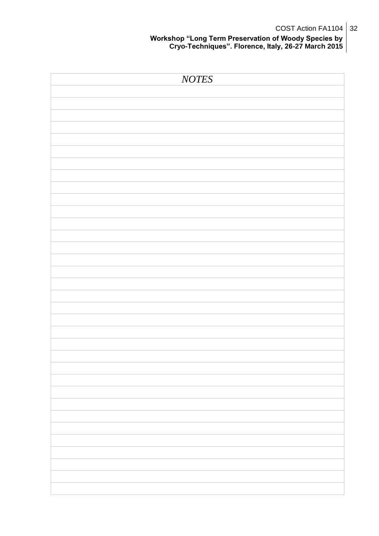COST Action FA1104 32  **Workshop "Long Term Preservation of Woody Species by Cryo-Techniques". Florence, Italy, 26-27 March 2015**

| <b>NOTES</b> |  |
|--------------|--|
|              |  |
|              |  |
|              |  |
|              |  |
|              |  |
|              |  |
|              |  |
|              |  |
|              |  |
|              |  |
|              |  |
|              |  |
|              |  |
|              |  |
|              |  |
|              |  |
|              |  |
|              |  |
|              |  |
|              |  |
|              |  |
|              |  |
|              |  |
|              |  |
|              |  |
|              |  |
|              |  |
|              |  |
|              |  |
|              |  |
|              |  |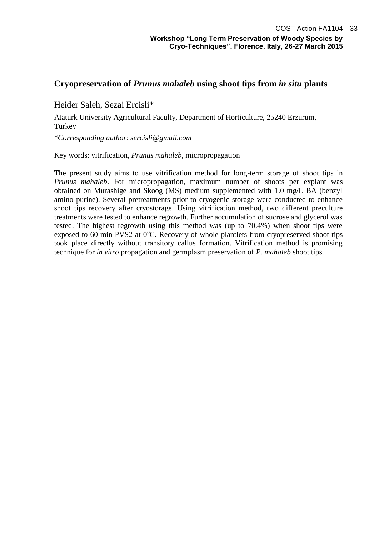### **Cryopreservation of** *Prunus mahaleb* **using shoot tips from** *in situ* **plants**

Heider Saleh, Sezai Ercisli\*

Ataturk University Agricultural Faculty, Department of Horticulture, 25240 Erzurum, Turkey

\**Corresponding author*: *sercisli@gmail.com*

Key words: vitrification, *Prunus mahaleb*, micropropagation

The present study aims to use vitrification method for long-term storage of shoot tips in *Prunus mahaleb*. For micropropagation, maximum number of shoots per explant was obtained on Murashige and Skoog (MS) medium supplemented with 1.0 mg/L BA (benzyl amino purine). Several pretreatments prior to cryogenic storage were conducted to enhance shoot tips recovery after cryostorage. Using vitrification method, two different preculture treatments were tested to enhance regrowth. Further accumulation of sucrose and glycerol was tested. The highest regrowth using this method was (up to 70.4%) when shoot tips were exposed to 60 min PVS2 at  $0^{\circ}$ C. Recovery of whole plantlets from cryopreserved shoot tips took place directly without transitory callus formation. Vitrification method is promising technique for *in vitro* propagation and germplasm preservation of *P. mahaleb* shoot tips.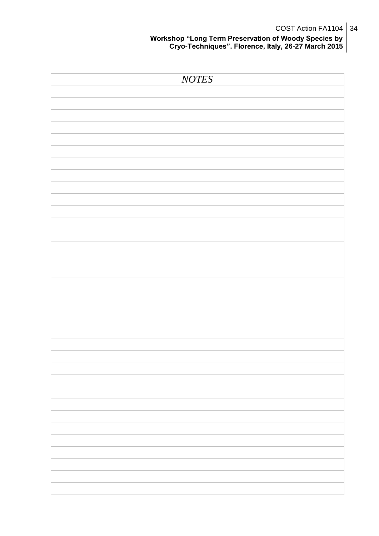COST Action FA1104 34  **Workshop "Long Term Preservation of Woody Species by Cryo-Techniques". Florence, Italy, 26-27 March 2015**

| <b>NOTES</b> |
|--------------|
|              |
|              |
|              |
|              |
|              |
|              |
|              |
|              |
|              |
|              |
|              |
|              |
|              |
|              |
|              |
|              |
|              |
|              |
|              |
|              |
|              |
|              |
|              |
|              |
|              |
|              |
|              |
|              |
|              |
|              |
|              |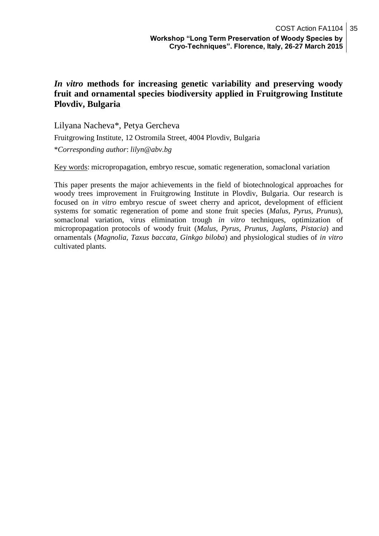## *In vitro* **methods for increasing genetic variability and preserving woody fruit and ornamental species biodiversity applied in Fruitgrowing Institute Plovdiv, Bulgaria**

Lilyana Nacheva\*, Petya Gercheva Fruitgrowing Institute, 12 Ostromila Street, 4004 Plovdiv, Bulgaria \**Corresponding author*: *lilyn@abv.bg*

Key words: micropropagation, embryo rescue, somatic regeneration, somaclonal variation

This paper presents the major achievements in the field of biotechnological approaches for woody trees improvement in Fruitgrowing Institute in Plovdiv, Bulgaria. Our research is focused on *in vitro* embryo rescue of sweet cherry and apricot, development of efficient systems for somatic regeneration of pome and stone fruit species (*Malus, Pyrus, Prunus*), somaclonal variation, virus elimination trough *in vitro* techniques, optimization of micropropagation protocols of woody fruit (*Malus, Pyrus, Prunus*, *Juglans*, *Pistacia*) and ornamentals (*Magnolia*, *Taxus baccata*, *Ginkgo biloba*) and physiological studies of *in vitro* cultivated plants.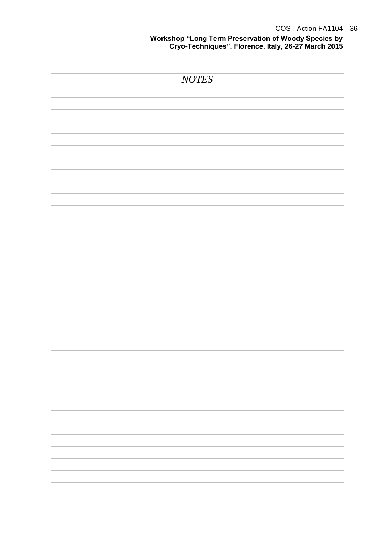COST Action FA1104 36  **Workshop "Long Term Preservation of Woody Species by Cryo-Techniques". Florence, Italy, 26-27 March 2015**

| NOTES |
|-------|
|       |
|       |
|       |
|       |
|       |
|       |
|       |
|       |
|       |
|       |
|       |
|       |
|       |
|       |
|       |
|       |
|       |
|       |
|       |
|       |
|       |
|       |
|       |
|       |
|       |
|       |
|       |
|       |
|       |
|       |
|       |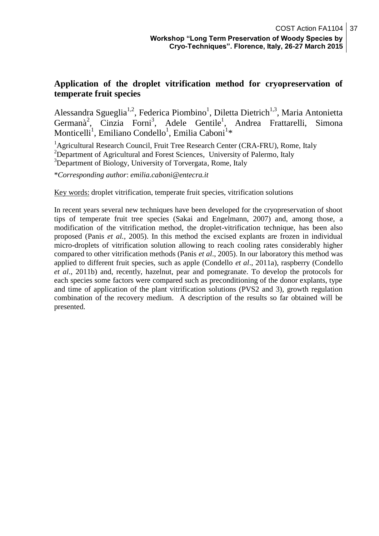# **Application of the droplet vitrification method for cryopreservation of temperate fruit species**

Alessandra Sgueglia<sup>1,2</sup>, Federica Piombino<sup>1</sup>, Diletta Dietrich<sup>1,3</sup>, Maria Antonietta Germanà<sup>2</sup>, Cinzia Forni<sup>3</sup>, Adele Gentile<sup>1</sup>, Andrea Frattarelli, Simona Monticelli<sup>1</sup>, Emiliano Condello<sup>1</sup>, Emilia Caboni<sup>1</sup>\*

<sup>1</sup>Agricultural Research Council, Fruit Tree Research Center (CRA-FRU), Rome, Italy <sup>2</sup>Department of Agricultural and Forest Sciences, University of Palermo, Italy

<sup>3</sup>Department of Biology, University of Torvergata, Rome, Italy

\**Corresponding author*: *emilia.caboni@entecra.it*

Key words: droplet vitrification, temperate fruit species, vitrification solutions

In recent years several new techniques have been developed for the cryopreservation of shoot tips of temperate fruit tree species (Sakai and Engelmann, 2007) and, among those, a modification of the vitrification method, the droplet-vitrification technique, has been also proposed (Panis *et al.*, 2005). In this method the excised explants are frozen in individual micro-droplets of vitrification solution allowing to reach cooling rates considerably higher compared to other vitrification methods (Panis *et al*., 2005). In our laboratory this method was applied to different fruit species, such as apple (Condello *et al*., 2011a), raspberry (Condello *et al*., 2011b) and, recently, hazelnut, pear and pomegranate. To develop the protocols for each species some factors were compared such as preconditioning of the donor explants, type and time of application of the plant vitrification solutions (PVS2 and 3), growth regulation combination of the recovery medium. A description of the results so far obtained will be presented.